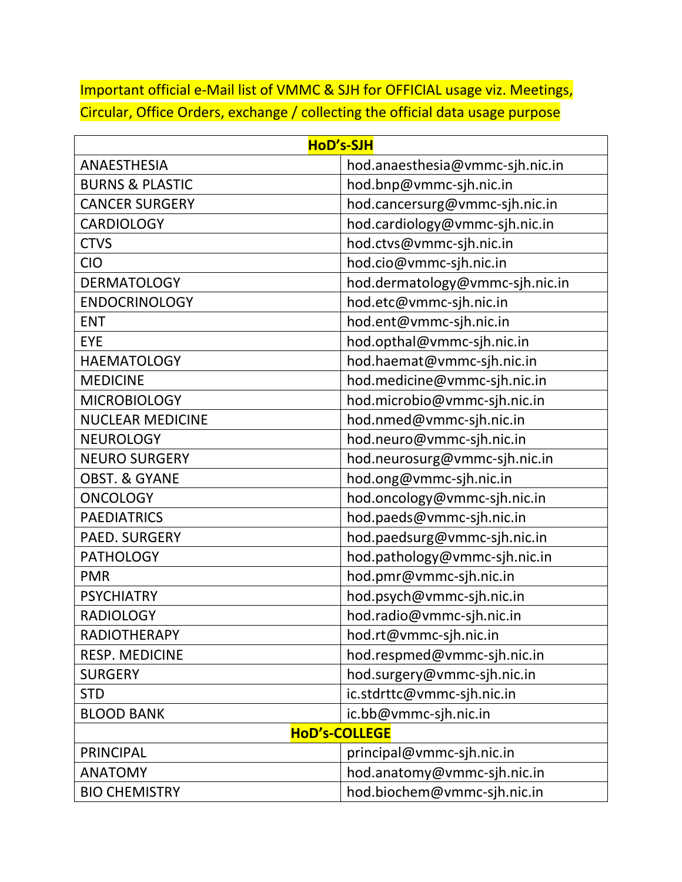Important official e-Mail list of VMMC & SJH for OFFICIAL usage viz. Meetings, Circular, Office Orders, exchange / collecting the official data usage purpose

| HoD's-SJH                  |                                 |
|----------------------------|---------------------------------|
| <b>ANAESTHESIA</b>         | hod.anaesthesia@vmmc-sjh.nic.in |
| <b>BURNS &amp; PLASTIC</b> | hod.bnp@vmmc-sjh.nic.in         |
| <b>CANCER SURGERY</b>      | hod.cancersurg@vmmc-sjh.nic.in  |
| <b>CARDIOLOGY</b>          | hod.cardiology@vmmc-sjh.nic.in  |
| <b>CTVS</b>                | hod.ctvs@vmmc-sjh.nic.in        |
| <b>CIO</b>                 | hod.cio@vmmc-sjh.nic.in         |
| <b>DERMATOLOGY</b>         | hod.dermatology@vmmc-sjh.nic.in |
| <b>ENDOCRINOLOGY</b>       | hod.etc@vmmc-sjh.nic.in         |
| <b>ENT</b>                 | hod.ent@vmmc-sjh.nic.in         |
| EYE                        | hod.opthal@vmmc-sjh.nic.in      |
| <b>HAEMATOLOGY</b>         | hod.haemat@vmmc-sjh.nic.in      |
| <b>MEDICINE</b>            | hod.medicine@vmmc-sjh.nic.in    |
| <b>MICROBIOLOGY</b>        | hod.microbio@vmmc-sjh.nic.in    |
| <b>NUCLEAR MEDICINE</b>    | hod.nmed@vmmc-sjh.nic.in        |
| <b>NEUROLOGY</b>           | hod.neuro@vmmc-sjh.nic.in       |
| <b>NEURO SURGERY</b>       | hod.neurosurg@vmmc-sjh.nic.in   |
| <b>OBST. &amp; GYANE</b>   | hod.ong@vmmc-sjh.nic.in         |
| <b>ONCOLOGY</b>            | hod.oncology@vmmc-sjh.nic.in    |
| <b>PAEDIATRICS</b>         | hod.paeds@vmmc-sjh.nic.in       |
| PAED. SURGERY              | hod.paedsurg@vmmc-sjh.nic.in    |
| <b>PATHOLOGY</b>           | hod.pathology@vmmc-sjh.nic.in   |
| <b>PMR</b>                 | hod.pmr@vmmc-sjh.nic.in         |
| <b>PSYCHIATRY</b>          | hod.psych@vmmc-sjh.nic.in       |
| <b>RADIOLOGY</b>           | hod.radio@vmmc-sjh.nic.in       |
| <b>RADIOTHERAPY</b>        | hod.rt@vmmc-sjh.nic.in          |
| <b>RESP. MEDICINE</b>      | hod.respmed@vmmc-sjh.nic.in     |
| <b>SURGERY</b>             | hod.surgery@vmmc-sjh.nic.in     |
| <b>STD</b>                 | ic.stdrttc@vmmc-sjh.nic.in      |
| <b>BLOOD BANK</b>          | ic.bb@vmmc-sjh.nic.in           |
| <b>HoD's-COLLEGE</b>       |                                 |
| <b>PRINCIPAL</b>           | principal@vmmc-sjh.nic.in       |
| <b>ANATOMY</b>             | hod.anatomy@vmmc-sjh.nic.in     |
| <b>BIO CHEMISTRY</b>       | hod.biochem@vmmc-sjh.nic.in     |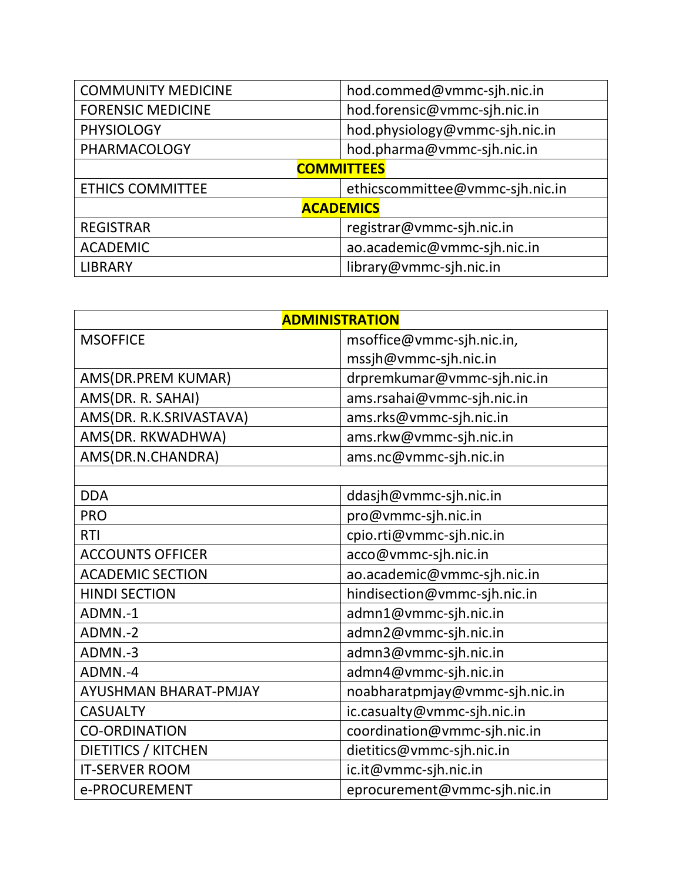| <b>COMMUNITY MEDICINE</b> | hod.commed@vmmc-sjh.nic.in      |  |
|---------------------------|---------------------------------|--|
| <b>FORENSIC MEDICINE</b>  | hod.forensic@vmmc-sjh.nic.in    |  |
| <b>PHYSIOLOGY</b>         | hod.physiology@vmmc-sjh.nic.in  |  |
| <b>PHARMACOLOGY</b>       | hod.pharma@vmmc-sjh.nic.in      |  |
| <b>COMMITTEES</b>         |                                 |  |
| <b>ETHICS COMMITTEE</b>   | ethicscommittee@vmmc-sjh.nic.in |  |
| <b>ACADEMICS</b>          |                                 |  |
| <b>REGISTRAR</b>          | registrar@vmmc-sjh.nic.in       |  |
| <b>ACADEMIC</b>           | ao.academic@vmmc-sjh.nic.in     |  |
| <b>LIBRARY</b>            | library@vmmc-sjh.nic.in         |  |

| <b>ADMINISTRATION</b>      |                                |
|----------------------------|--------------------------------|
| <b>MSOFFICE</b>            | msoffice@vmmc-sjh.nic.in,      |
|                            | mssjh@vmmc-sjh.nic.in          |
| AMS(DR.PREM KUMAR)         | drpremkumar@vmmc-sjh.nic.in    |
| AMS(DR. R. SAHAI)          | ams.rsahai@vmmc-sjh.nic.in     |
| AMS(DR. R.K.SRIVASTAVA)    | ams.rks@vmmc-sjh.nic.in        |
| AMS(DR. RKWADHWA)          | ams.rkw@vmmc-sjh.nic.in        |
| AMS(DR.N.CHANDRA)          | ams.nc@vmmc-sjh.nic.in         |
|                            |                                |
| <b>DDA</b>                 | ddasjh@vmmc-sjh.nic.in         |
| <b>PRO</b>                 | pro@vmmc-sjh.nic.in            |
| <b>RTI</b>                 | cpio.rti@vmmc-sjh.nic.in       |
| <b>ACCOUNTS OFFICER</b>    | acco@vmmc-sjh.nic.in           |
| <b>ACADEMIC SECTION</b>    | ao.academic@vmmc-sjh.nic.in    |
| <b>HINDI SECTION</b>       | hindisection@vmmc-sjh.nic.in   |
| ADMN.-1                    | admn1@vmmc-sjh.nic.in          |
| ADMN <sub>.</sub> -2       | admn2@vmmc-sjh.nic.in          |
| ADMN.-3                    | admn3@vmmc-sjh.nic.in          |
| ADMN.-4                    | admn4@vmmc-sjh.nic.in          |
| AYUSHMAN BHARAT-PMJAY      | noabharatpmjay@vmmc-sjh.nic.in |
| <b>CASUALTY</b>            | ic.casualty@vmmc-sjh.nic.in    |
| <b>CO-ORDINATION</b>       | coordination@vmmc-sjh.nic.in   |
| <b>DIETITICS / KITCHEN</b> | dietitics@vmmc-sjh.nic.in      |
| <b>IT-SERVER ROOM</b>      | ic.it@vmmc-sjh.nic.in          |
| e-PROCUREMENT              | eprocurement@vmmc-sjh.nic.in   |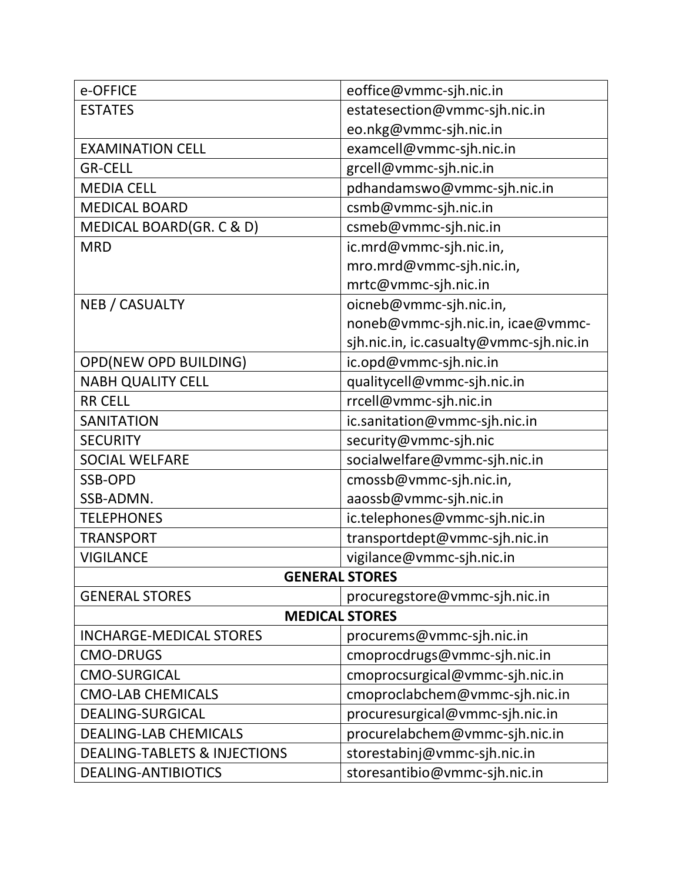| e-OFFICE                                | eoffice@vmmc-sjh.nic.in                 |  |
|-----------------------------------------|-----------------------------------------|--|
| <b>ESTATES</b>                          | estatesection@vmmc-sjh.nic.in           |  |
|                                         | eo.nkg@vmmc-sjh.nic.in                  |  |
| <b>EXAMINATION CELL</b>                 | examcell@vmmc-sjh.nic.in                |  |
| <b>GR-CELL</b>                          | grcell@vmmc-sjh.nic.in                  |  |
| <b>MEDIA CELL</b>                       | pdhandamswo@vmmc-sjh.nic.in             |  |
| <b>MEDICAL BOARD</b>                    | csmb@vmmc-sjh.nic.in                    |  |
| MEDICAL BOARD(GR. C & D)                | csmeb@vmmc-sjh.nic.in                   |  |
| <b>MRD</b>                              | ic.mrd@vmmc-sjh.nic.in,                 |  |
|                                         | mro.mrd@vmmc-sjh.nic.in,                |  |
|                                         | mrtc@vmmc-sjh.nic.in                    |  |
| <b>NEB / CASUALTY</b>                   | oicneb@vmmc-sjh.nic.in,                 |  |
|                                         | noneb@vmmc-sjh.nic.in, icae@vmmc-       |  |
|                                         | sjh.nic.in, ic.casualty@vmmc-sjh.nic.in |  |
| OPD(NEW OPD BUILDING)                   | ic.opd@vmmc-sjh.nic.in                  |  |
| <b>NABH QUALITY CELL</b>                | qualitycell@vmmc-sjh.nic.in             |  |
| <b>RR CELL</b>                          | rrcell@vmmc-sjh.nic.in                  |  |
| <b>SANITATION</b>                       | ic.sanitation@vmmc-sjh.nic.in           |  |
| <b>SECURITY</b>                         | security@vmmc-sjh.nic                   |  |
| <b>SOCIAL WELFARE</b>                   | socialwelfare@vmmc-sjh.nic.in           |  |
| <b>SSB-OPD</b>                          | cmossb@vmmc-sjh.nic.in,                 |  |
| SSB-ADMN.                               | aaossb@vmmc-sjh.nic.in                  |  |
| <b>TELEPHONES</b>                       | ic.telephones@vmmc-sjh.nic.in           |  |
| <b>TRANSPORT</b>                        | transportdept@vmmc-sjh.nic.in           |  |
| <b>VIGILANCE</b>                        | vigilance@vmmc-sjh.nic.in               |  |
| <b>GENERAL STORES</b>                   |                                         |  |
| <b>GENERAL STORES</b>                   | procuregstore@vmmc-sjh.nic.in           |  |
| <b>MEDICAL STORES</b>                   |                                         |  |
| <b>INCHARGE-MEDICAL STORES</b>          | procurems@vmmc-sjh.nic.in               |  |
| <b>CMO-DRUGS</b>                        | cmoprocdrugs@vmmc-sjh.nic.in            |  |
| <b>CMO-SURGICAL</b>                     | cmoprocsurgical@vmmc-sjh.nic.in         |  |
| <b>CMO-LAB CHEMICALS</b>                | cmoproclabchem@vmmc-sjh.nic.in          |  |
| <b>DEALING-SURGICAL</b>                 | procuresurgical@vmmc-sjh.nic.in         |  |
| <b>DEALING-LAB CHEMICALS</b>            | procurelabchem@vmmc-sjh.nic.in          |  |
| <b>DEALING-TABLETS &amp; INJECTIONS</b> | storestabinj@vmmc-sjh.nic.in            |  |
| <b>DEALING-ANTIBIOTICS</b>              | storesantibio@vmmc-sjh.nic.in           |  |